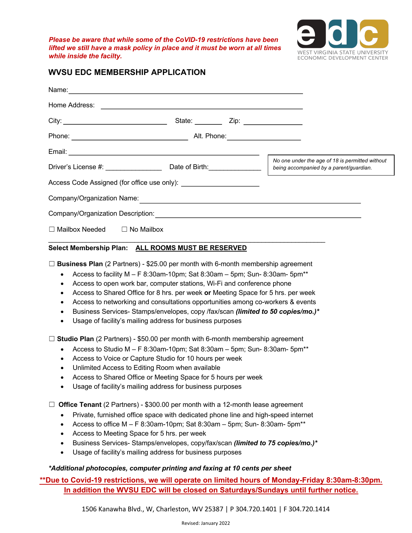*Please be aware that while some of the CoVID-19 restrictions have been lifted we still have a mask policy in place and it must be worn at all times while inside the facilty.*



## **WVSU EDC MEMBERSHIP APPLICATION**

| Name:                                   |                 |                                  |                                                                                            |
|-----------------------------------------|-----------------|----------------------------------|--------------------------------------------------------------------------------------------|
|                                         |                 |                                  |                                                                                            |
|                                         | State: ________ | Zip: ________________            |                                                                                            |
|                                         |                 | Alt. Phone: ____________________ |                                                                                            |
|                                         |                 |                                  |                                                                                            |
|                                         |                 |                                  | No one under the age of 18 is permitted without<br>being accompanied by a parent/guardian. |
|                                         |                 |                                  |                                                                                            |
|                                         |                 |                                  |                                                                                            |
|                                         |                 |                                  |                                                                                            |
| $\Box$ Mailbox Needed $\Box$ No Mailbox |                 |                                  |                                                                                            |

## **Select Membership Plan: ALL ROOMS MUST BE RESERVED**

☐ **Business Plan** (2 Partners) - \$25.00 per month with 6-month membership agreement

- Access to facility  $M F$  8:30am-10pm; Sat 8:30am 5pm; Sun-8:30am-5pm<sup>\*\*</sup>
- Access to open work bar, computer stations, Wi-Fi and conference phone
- Access to Shared Office for 8 hrs. per week **or** Meeting Space for 5 hrs. per week
- Access to networking and consultations opportunities among co-workers & events
- Business Services- Stamps/envelopes, copy /fax/scan *(limited to 50 copies/mo.)\**
- Usage of facility's mailing address for business purposes

☐ **Studio Plan** (2 Partners) - \$50.00 per month with 6-month membership agreement

- Access to Studio M  $-$  F 8:30am-10pm; Sat 8:30am  $-$  5pm; Sun-8:30am-5pm<sup>\*\*</sup>
- Access to Voice or Capture Studio for 10 hours per week
- Unlimited Access to Editing Room when available
- Access to Shared Office or Meeting Space for 5 hours per week
- Usage of facility's mailing address for business purposes

□ **Office Tenant** (2 Partners) - \$300.00 per month with a 12-month lease agreement

- Private, furnished office space with dedicated phone line and high-speed internet
- Access to office  $M F$  8:30am-10pm; Sat 8:30am 5pm; Sun-8:30am-5pm<sup>\*\*</sup>
- Access to Meeting Space for 5 hrs. per week
- Business Services- Stamps/envelopes, copy/fax/scan *(limited to 75 copies/mo.)\**
- Usage of facility's mailing address for business purposes

## *\*Additional photocopies, computer printing and faxing at 10 cents per sheet*

**\*\*Due to Covid-19 restrictions, we will operate on limited hours of Monday-Friday 8:30am-8:30pm. In addition the WVSU EDC will be closed on Saturdays/Sundays until further notice.** 

1506 Kanawha Blvd., W, Charleston, WV 25387 | P 304.720.1401 | F 304.720.1414